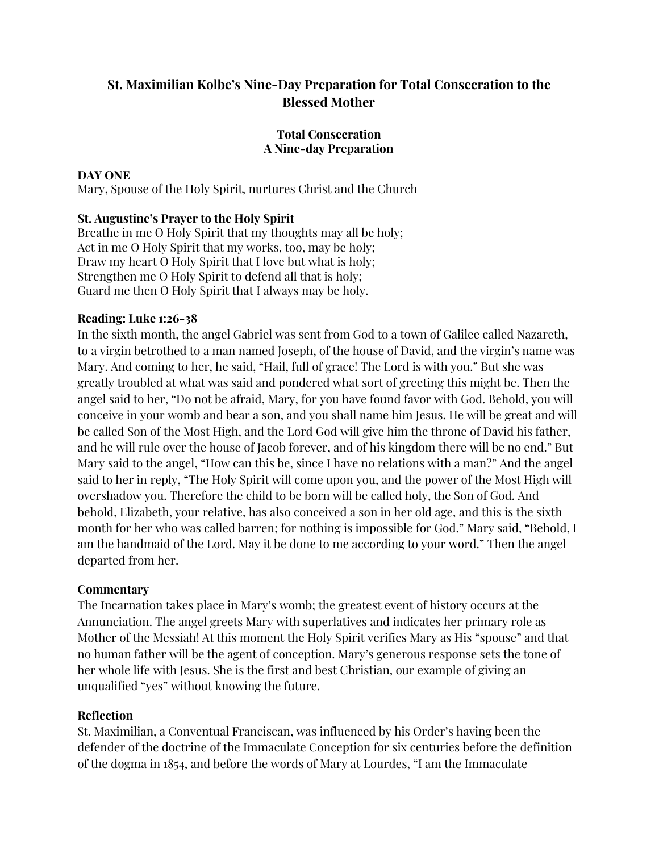# **St. Maximilian Kolbe's Nine-Day Preparation for Total Consecration to the Blessed Mother**

### **Total Consecration A Nine-day Preparation**

# **DAY ONE**

Mary, Spouse of the Holy Spirit, nurtures Christ and the Church

# **St. Augustine's Prayer to the Holy Spirit**

Breathe in me O Holy Spirit that my thoughts may all be holy; Act in me O Holy Spirit that my works, too, may be holy; Draw my heart O Holy Spirit that I love but what is holy; Strengthen me O Holy Spirit to defend all that is holy; Guard me then O Holy Spirit that I always may be holy.

# **Reading: Luke 1:26-38**

In the sixth month, the angel Gabriel was sent from God to a town of Galilee called Nazareth, to a virgin betrothed to a man named Joseph, of the house of David, and the virgin's name was Mary. And coming to her, he said, "Hail, full of grace! The Lord is with you." But she was greatly troubled at what was said and pondered what sort of greeting this might be. Then the angel said to her, "Do not be afraid, Mary, for you have found favor with God. Behold, you will conceive in your womb and bear a son, and you shall name him Jesus. He will be great and will be called Son of the Most High, and the Lord God will give him the throne of David his father, and he will rule over the house of Jacob forever, and of his kingdom there will be no end." But Mary said to the angel, "How can this be, since I have no relations with a man?" And the angel said to her in reply, "The Holy Spirit will come upon you, and the power of the Most High will overshadow you. Therefore the child to be born will be called holy, the Son of God. And behold, Elizabeth, your relative, has also conceived a son in her old age, and this is the sixth month for her who was called barren; for nothing is impossible for God." Mary said, "Behold, I am the handmaid of the Lord. May it be done to me according to your word." Then the angel departed from her.

# **Commentary**

The Incarnation takes place in Mary's womb; the greatest event of history occurs at the Annunciation. The angel greets Mary with superlatives and indicates her primary role as Mother of the Messiah! At this moment the Holy Spirit verifies Mary as His "spouse" and that no human father will be the agent of conception. Mary's generous response sets the tone of her whole life with Jesus. She is the first and best Christian, our example of giving an unqualified "yes" without knowing the future.

# **Reflection**

St. Maximilian, a Conventual Franciscan, was influenced by his Order's having been the defender of the doctrine of the Immaculate Conception for six centuries before the definition of the dogma in 1854, and before the words of Mary at Lourdes, "I am the Immaculate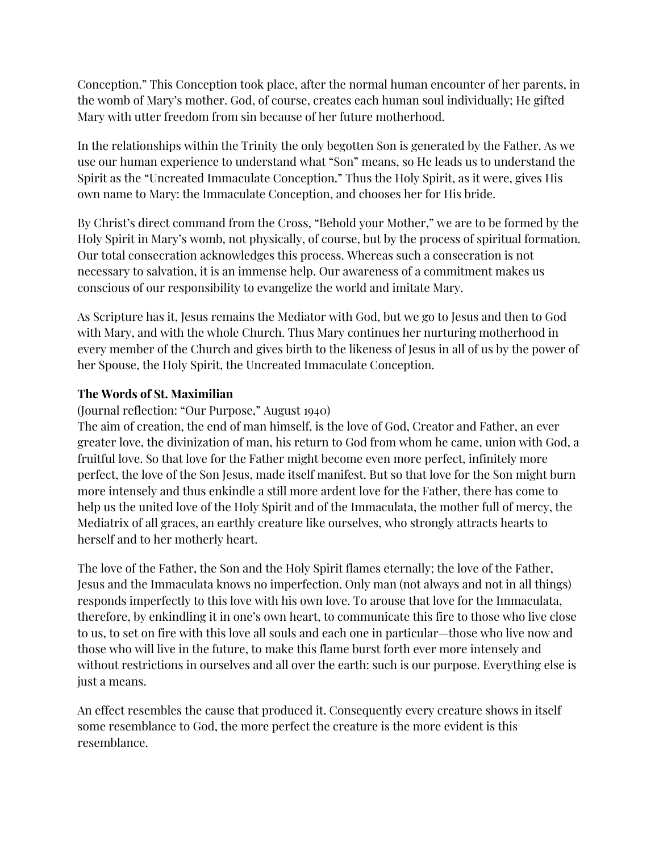Conception." This Conception took place, after the normal human encounter of her parents, in the womb of Mary's mother. God, of course, creates each human soul individually; He gifted Mary with utter freedom from sin because of her future motherhood.

In the relationships within the Trinity the only begotten Son is generated by the Father. As we use our human experience to understand what "Son" means, so He leads us to understand the Spirit as the "Uncreated Immaculate Conception." Thus the Holy Spirit, as it were, gives His own name to Mary: the Immaculate Conception, and chooses her for His bride.

By Christ's direct command from the Cross, "Behold your Mother," we are to be formed by the Holy Spirit in Mary's womb, not physically, of course, but by the process of spiritual formation. Our total consecration acknowledges this process. Whereas such a consecration is not necessary to salvation, it is an immense help. Our awareness of a commitment makes us conscious of our responsibility to evangelize the world and imitate Mary.

As Scripture has it, Jesus remains the Mediator with God, but we go to Jesus and then to God with Mary, and with the whole Church. Thus Mary continues her nurturing motherhood in every member of the Church and gives birth to the likeness of Jesus in all of us by the power of her Spouse, the Holy Spirit, the Uncreated Immaculate Conception.

### **The Words of St. Maximilian**

# (Journal reflection: "Our Purpose," August 1940)

The aim of creation, the end of man himself, is the love of God, Creator and Father, an ever greater love, the divinization of man, his return to God from whom he came, union with God, a fruitful love. So that love for the Father might become even more perfect, infinitely more perfect, the love of the Son Jesus, made itself manifest. But so that love for the Son might burn more intensely and thus enkindle a still more ardent love for the Father, there has come to help us the united love of the Holy Spirit and of the Immaculata, the mother full of mercy, the Mediatrix of all graces, an earthly creature like ourselves, who strongly attracts hearts to herself and to her motherly heart.

The love of the Father, the Son and the Holy Spirit flames eternally; the love of the Father, Jesus and the Immaculata knows no imperfection. Only man (not always and not in all things) responds imperfectly to this love with his own love. To arouse that love for the Immaculata, therefore, by enkindling it in one's own heart, to communicate this fire to those who live close to us, to set on fire with this love all souls and each one in particular—those who live now and those who will live in the future, to make this flame burst forth ever more intensely and without restrictions in ourselves and all over the earth: such is our purpose. Everything else is just a means.

An effect resembles the cause that produced it. Consequently every creature shows in itself some resemblance to God, the more perfect the creature is the more evident is this resemblance.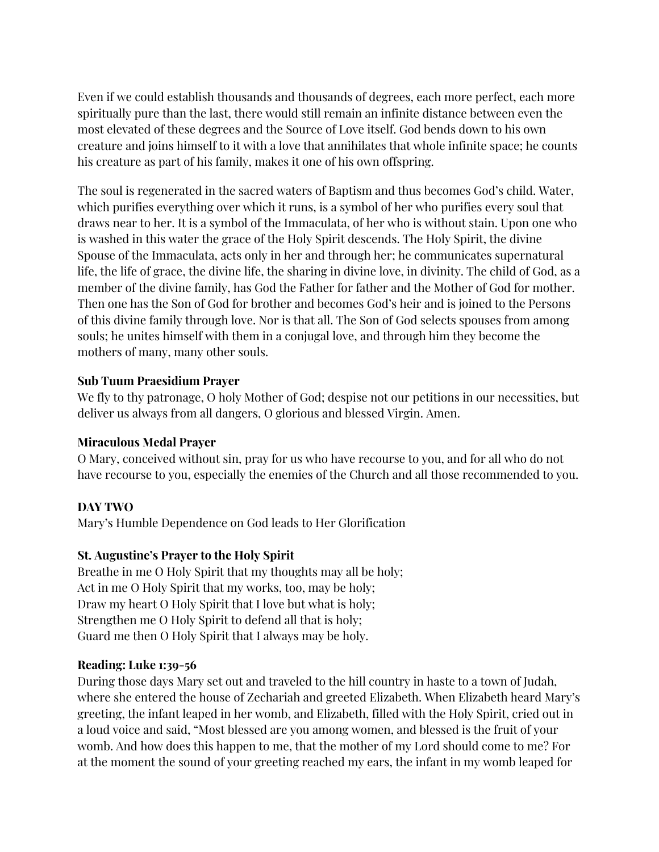Even if we could establish thousands and thousands of degrees, each more perfect, each more spiritually pure than the last, there would still remain an infinite distance between even the most elevated of these degrees and the Source of Love itself. God bends down to his own creature and joins himself to it with a love that annihilates that whole infinite space; he counts his creature as part of his family, makes it one of his own offspring.

The soul is regenerated in the sacred waters of Baptism and thus becomes God's child. Water, which purifies everything over which it runs, is a symbol of her who purifies every soul that draws near to her. It is a symbol of the Immaculata, of her who is without stain. Upon one who is washed in this water the grace of the Holy Spirit descends. The Holy Spirit, the divine Spouse of the Immaculata, acts only in her and through her; he communicates supernatural life, the life of grace, the divine life, the sharing in divine love, in divinity. The child of God, as a member of the divine family, has God the Father for father and the Mother of God for mother. Then one has the Son of God for brother and becomes God's heir and is joined to the Persons of this divine family through love. Nor is that all. The Son of God selects spouses from among souls; he unites himself with them in a conjugal love, and through him they become the mothers of many, many other souls.

### **Sub Tuum Praesidium Prayer**

We fly to thy patronage, O holy Mother of God; despise not our petitions in our necessities, but deliver us always from all dangers, O glorious and blessed Virgin. Amen.

### **Miraculous Medal Prayer**

O Mary, conceived without sin, pray for us who have recourse to you, and for all who do not have recourse to you, especially the enemies of the Church and all those recommended to you.

# **DAY TWO**

Mary's Humble Dependence on God leads to Her Glorification

# **St. Augustine's Prayer to the Holy Spirit**

Breathe in me O Holy Spirit that my thoughts may all be holy; Act in me O Holy Spirit that my works, too, may be holy; Draw my heart O Holy Spirit that I love but what is holy; Strengthen me O Holy Spirit to defend all that is holy; Guard me then O Holy Spirit that I always may be holy.

### **Reading: Luke 1:39-56**

During those days Mary set out and traveled to the hill country in haste to a town of Judah, where she entered the house of Zechariah and greeted Elizabeth. When Elizabeth heard Mary's greeting, the infant leaped in her womb, and Elizabeth, filled with the Holy Spirit, cried out in a loud voice and said, "Most blessed are you among women, and blessed is the fruit of your womb. And how does this happen to me, that the mother of my Lord should come to me? For at the moment the sound of your greeting reached my ears, the infant in my womb leaped for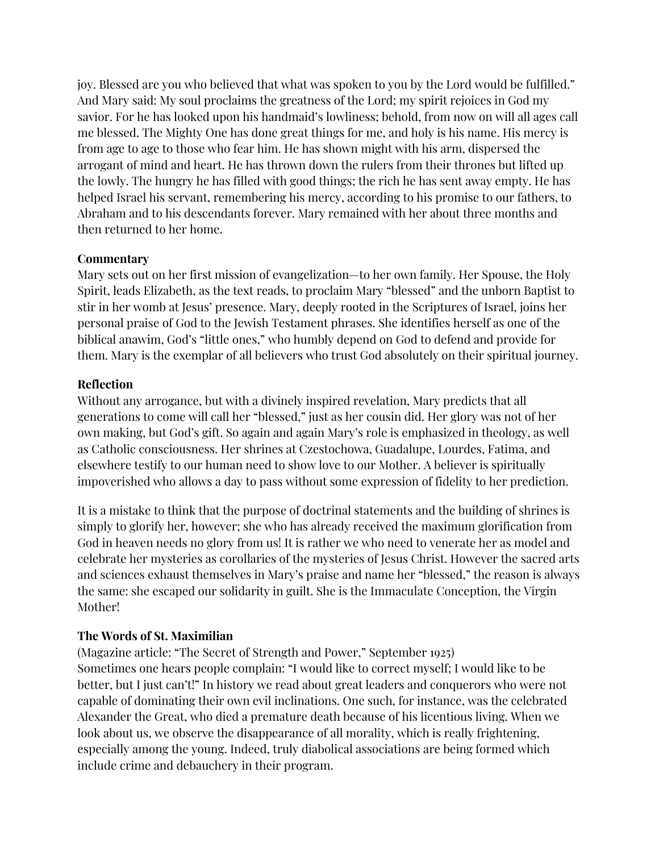joy. Blessed are you who believed that what was spoken to you by the Lord would be fulfilled." And Mary said: My soul proclaims the greatness of the Lord; my spirit rejoices in God my savior. For he has looked upon his handmaid's lowliness; behold, from now on will all ages call me blessed. The Mighty One has done great things for me, and holy is his name. His mercy is from age to age to those who fear him. He has shown might with his arm, dispersed the arrogant of mind and heart. He has thrown down the rulers from their thrones but lifted up the lowly. The hungry he has filled with good things; the rich he has sent away empty. He has helped Israel his servant, remembering his mercy, according to his promise to our fathers, to Abraham and to his descendants forever. Mary remained with her about three months and then returned to her home.

### **Commentary**

Mary sets out on her first mission of evangelization—to her own family. Her Spouse, the Holy Spirit, leads Elizabeth, as the text reads, to proclaim Mary "blessed" and the unborn Baptist to stir in her womb at Jesus' presence. Mary, deeply rooted in the Scriptures of Israel, joins her personal praise of God to the Jewish Testament phrases. She identifies herself as one of the biblical anawim, God's "little ones," who humbly depend on God to defend and provide for them. Mary is the exemplar of all believers who trust God absolutely on their spiritual journey.

### **Reflection**

Without any arrogance, but with a divinely inspired revelation, Mary predicts that all generations to come will call her "blessed," just as her cousin did. Her glory was not of her own making, but God's gift. So again and again Mary's role is emphasized in theology, as well as Catholic consciousness. Her shrines at Czestochowa, Guadalupe, Lourdes, Fatima, and elsewhere testify to our human need to show love to our Mother. A believer is spiritually impoverished who allows a day to pass without some expression of fidelity to her prediction.

It is a mistake to think that the purpose of doctrinal statements and the building of shrines is simply to glorify her, however; she who has already received the maximum glorification from God in heaven needs no glory from us! It is rather we who need to venerate her as model and celebrate her mysteries as corollaries of the mysteries of Jesus Christ. However the sacred arts and sciences exhaust themselves in Mary's praise and name her "blessed," the reason is always the same: she escaped our solidarity in guilt. She is the Immaculate Conception, the Virgin Mother!

# **The Words of St. Maximilian**

(Magazine article: "The Secret of Strength and Power," September 1925) Sometimes one hears people complain: "I would like to correct myself; I would like to be better, but I just can't!" In history we read about great leaders and conquerors who were not capable of dominating their own evil inclinations. One such, for instance, was the celebrated Alexander the Great, who died a premature death because of his licentious living. When we look about us, we observe the disappearance of all morality, which is really frightening, especially among the young. Indeed, truly diabolical associations are being formed which include crime and debauchery in their program.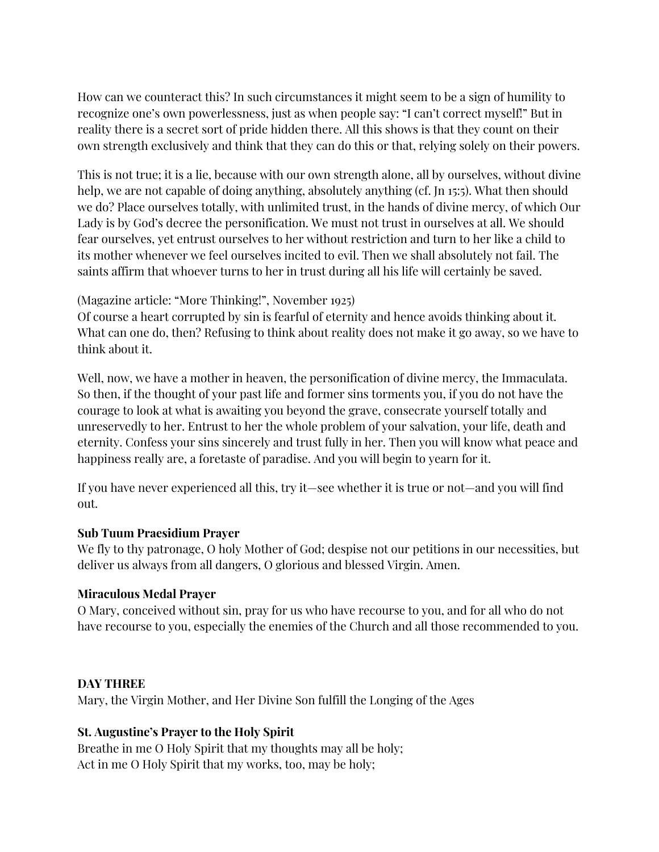How can we counteract this? In such circumstances it might seem to be a sign of humility to recognize one's own powerlessness, just as when people say: "I can't correct myself!" But in reality there is a secret sort of pride hidden there. All this shows is that they count on their own strength exclusively and think that they can do this or that, relying solely on their powers.

This is not true; it is a lie, because with our own strength alone, all by ourselves, without divine help, we are not capable of doing anything, absolutely anything (cf. Jn 15:5). What then should we do? Place ourselves totally, with unlimited trust, in the hands of divine mercy, of which Our Lady is by God's decree the personification. We must not trust in ourselves at all. We should fear ourselves, yet entrust ourselves to her without restriction and turn to her like a child to its mother whenever we feel ourselves incited to evil. Then we shall absolutely not fail. The saints affirm that whoever turns to her in trust during all his life will certainly be saved.

(Magazine article: "More Thinking!", November 1925)

Of course a heart corrupted by sin is fearful of eternity and hence avoids thinking about it. What can one do, then? Refusing to think about reality does not make it go away, so we have to think about it.

Well, now, we have a mother in heaven, the personification of divine mercy, the Immaculata. So then, if the thought of your past life and former sins torments you, if you do not have the courage to look at what is awaiting you beyond the grave, consecrate yourself totally and unreservedly to her. Entrust to her the whole problem of your salvation, your life, death and eternity. Confess your sins sincerely and trust fully in her. Then you will know what peace and happiness really are, a foretaste of paradise. And you will begin to yearn for it.

If you have never experienced all this, try it—see whether it is true or not—and you will find out.

### **Sub Tuum Praesidium Prayer**

We fly to thy patronage, O holy Mother of God; despise not our petitions in our necessities, but deliver us always from all dangers, O glorious and blessed Virgin. Amen.

### **Miraculous Medal Prayer**

O Mary, conceived without sin, pray for us who have recourse to you, and for all who do not have recourse to you, especially the enemies of the Church and all those recommended to you.

### **DAY THREE**

Mary, the Virgin Mother, and Her Divine Son fulfill the Longing of the Ages

# **St. Augustine's Prayer to the Holy Spirit**

Breathe in me O Holy Spirit that my thoughts may all be holy; Act in me O Holy Spirit that my works, too, may be holy;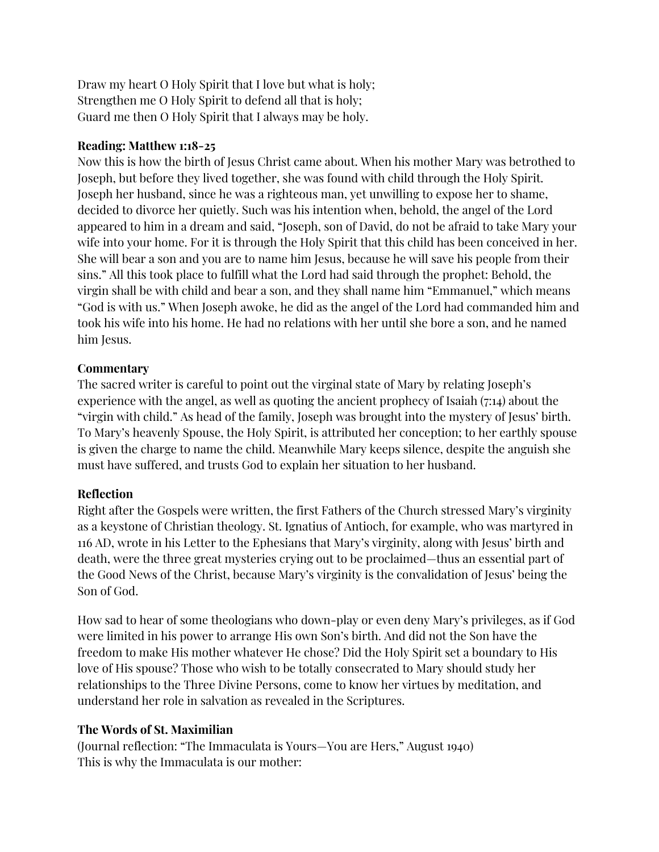Draw my heart O Holy Spirit that I love but what is holy; Strengthen me O Holy Spirit to defend all that is holy; Guard me then O Holy Spirit that I always may be holy.

### **Reading: Matthew 1:18-25**

Now this is how the birth of Jesus Christ came about. When his mother Mary was betrothed to Joseph, but before they lived together, she was found with child through the Holy Spirit. Joseph her husband, since he was a righteous man, yet unwilling to expose her to shame, decided to divorce her quietly. Such was his intention when, behold, the angel of the Lord appeared to him in a dream and said, "Joseph, son of David, do not be afraid to take Mary your wife into your home. For it is through the Holy Spirit that this child has been conceived in her. She will bear a son and you are to name him Jesus, because he will save his people from their sins." All this took place to fulfill what the Lord had said through the prophet: Behold, the virgin shall be with child and bear a son, and they shall name him "Emmanuel," which means "God is with us." When Joseph awoke, he did as the angel of the Lord had commanded him and took his wife into his home. He had no relations with her until she bore a son, and he named him Jesus.

### **Commentary**

The sacred writer is careful to point out the virginal state of Mary by relating Joseph's experience with the angel, as well as quoting the ancient prophecy of Isaiah (7:14) about the "virgin with child." As head of the family, Joseph was brought into the mystery of Jesus' birth. To Mary's heavenly Spouse, the Holy Spirit, is attributed her conception; to her earthly spouse is given the charge to name the child. Meanwhile Mary keeps silence, despite the anguish she must have suffered, and trusts God to explain her situation to her husband.

### **Reflection**

Right after the Gospels were written, the first Fathers of the Church stressed Mary's virginity as a keystone of Christian theology. St. Ignatius of Antioch, for example, who was martyred in 116 AD, wrote in his Letter to the Ephesians that Mary's virginity, along with Jesus' birth and death, were the three great mysteries crying out to be proclaimed—thus an essential part of the Good News of the Christ, because Mary's virginity is the convalidation of Jesus' being the Son of God.

How sad to hear of some theologians who down-play or even deny Mary's privileges, as if God were limited in his power to arrange His own Son's birth. And did not the Son have the freedom to make His mother whatever He chose? Did the Holy Spirit set a boundary to His love of His spouse? Those who wish to be totally consecrated to Mary should study her relationships to the Three Divine Persons, come to know her virtues by meditation, and understand her role in salvation as revealed in the Scriptures.

# **The Words of St. Maximilian**

(Journal reflection: "The Immaculata is Yours—You are Hers," August 1940) This is why the Immaculata is our mother: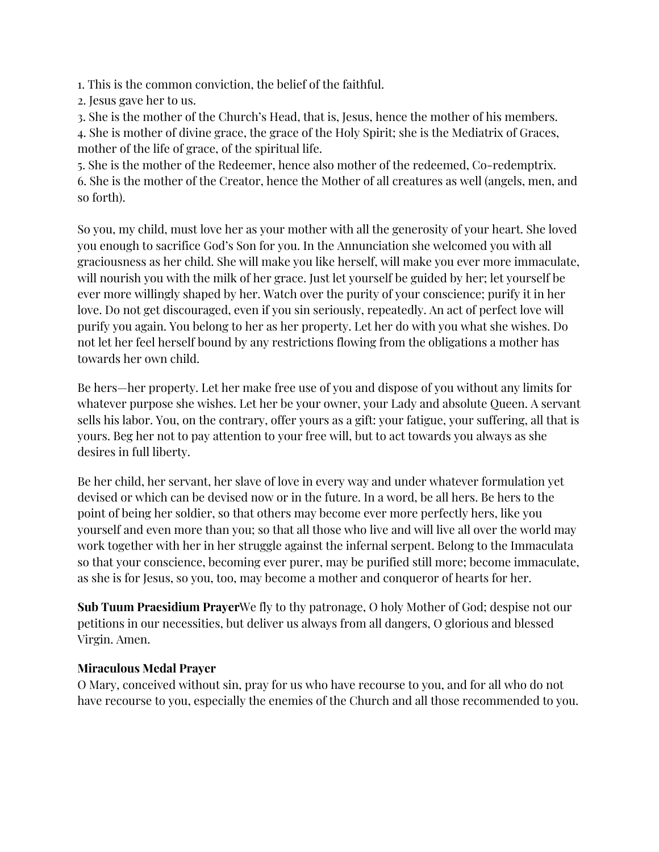1. This is the common conviction, the belief of the faithful.

2. Jesus gave her to us.

3. She is the mother of the Church's Head, that is, Jesus, hence the mother of his members.

4. She is mother of divine grace, the grace of the Holy Spirit; she is the Mediatrix of Graces, mother of the life of grace, of the spiritual life.

5. She is the mother of the Redeemer, hence also mother of the redeemed, Co-redemptrix. 6. She is the mother of the Creator, hence the Mother of all creatures as well (angels, men, and so forth).

So you, my child, must love her as your mother with all the generosity of your heart. She loved you enough to sacrifice God's Son for you. In the Annunciation she welcomed you with all graciousness as her child. She will make you like herself, will make you ever more immaculate, will nourish you with the milk of her grace. Just let yourself be guided by her; let yourself be ever more willingly shaped by her. Watch over the purity of your conscience; purify it in her love. Do not get discouraged, even if you sin seriously, repeatedly. An act of perfect love will purify you again. You belong to her as her property. Let her do with you what she wishes. Do not let her feel herself bound by any restrictions flowing from the obligations a mother has towards her own child.

Be hers—her property. Let her make free use of you and dispose of you without any limits for whatever purpose she wishes. Let her be your owner, your Lady and absolute Queen. A servant sells his labor. You, on the contrary, offer yours as a gift: your fatigue, your suffering, all that is yours. Beg her not to pay attention to your free will, but to act towards you always as she desires in full liberty.

Be her child, her servant, her slave of love in every way and under whatever formulation yet devised or which can be devised now or in the future. In a word, be all hers. Be hers to the point of being her soldier, so that others may become ever more perfectly hers, like you yourself and even more than you; so that all those who live and will live all over the world may work together with her in her struggle against the infernal serpent. Belong to the Immaculata so that your conscience, becoming ever purer, may be purified still more; become immaculate, as she is for Jesus, so you, too, may become a mother and conqueror of hearts for her.

**Sub Tuum Praesidium Prayer**We fly to thy patronage, O holy Mother of God; despise not our petitions in our necessities, but deliver us always from all dangers, O glorious and blessed Virgin. Amen.

# **Miraculous Medal Prayer**

O Mary, conceived without sin, pray for us who have recourse to you, and for all who do not have recourse to you, especially the enemies of the Church and all those recommended to you.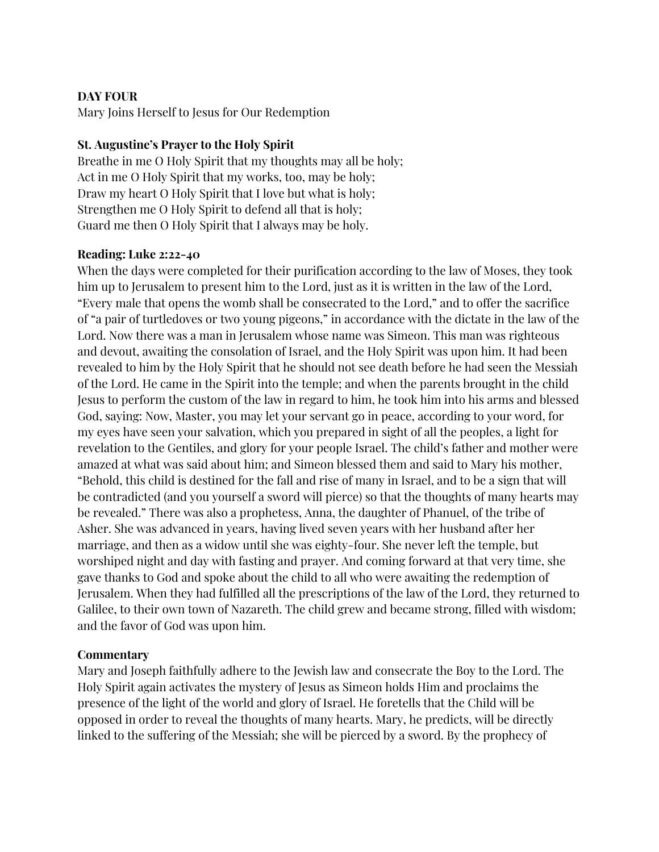### **DAY FOUR**

Mary Joins Herself to Jesus for Our Redemption

#### **St. Augustine's Prayer to the Holy Spirit**

Breathe in me O Holy Spirit that my thoughts may all be holy; Act in me O Holy Spirit that my works, too, may be holy; Draw my heart O Holy Spirit that I love but what is holy; Strengthen me O Holy Spirit to defend all that is holy; Guard me then O Holy Spirit that I always may be holy.

#### **Reading: Luke 2:22-40**

When the days were completed for their purification according to the law of Moses, they took him up to Jerusalem to present him to the Lord, just as it is written in the law of the Lord, "Every male that opens the womb shall be consecrated to the Lord," and to offer the sacrifice of "a pair of turtledoves or two young pigeons," in accordance with the dictate in the law of the Lord. Now there was a man in Jerusalem whose name was Simeon. This man was righteous and devout, awaiting the consolation of Israel, and the Holy Spirit was upon him. It had been revealed to him by the Holy Spirit that he should not see death before he had seen the Messiah of the Lord. He came in the Spirit into the temple; and when the parents brought in the child Jesus to perform the custom of the law in regard to him, he took him into his arms and blessed God, saying: Now, Master, you may let your servant go in peace, according to your word, for my eyes have seen your salvation, which you prepared in sight of all the peoples, a light for revelation to the Gentiles, and glory for your people Israel. The child's father and mother were amazed at what was said about him; and Simeon blessed them and said to Mary his mother, "Behold, this child is destined for the fall and rise of many in Israel, and to be a sign that will be contradicted (and you yourself a sword will pierce) so that the thoughts of many hearts may be revealed." There was also a prophetess, Anna, the daughter of Phanuel, of the tribe of Asher. She was advanced in years, having lived seven years with her husband after her marriage, and then as a widow until she was eighty-four. She never left the temple, but worshiped night and day with fasting and prayer. And coming forward at that very time, she gave thanks to God and spoke about the child to all who were awaiting the redemption of Jerusalem. When they had fulfilled all the prescriptions of the law of the Lord, they returned to Galilee, to their own town of Nazareth. The child grew and became strong, filled with wisdom; and the favor of God was upon him.

### **Commentary**

Mary and Joseph faithfully adhere to the Jewish law and consecrate the Boy to the Lord. The Holy Spirit again activates the mystery of Jesus as Simeon holds Him and proclaims the presence of the light of the world and glory of Israel. He foretells that the Child will be opposed in order to reveal the thoughts of many hearts. Mary, he predicts, will be directly linked to the suffering of the Messiah; she will be pierced by a sword. By the prophecy of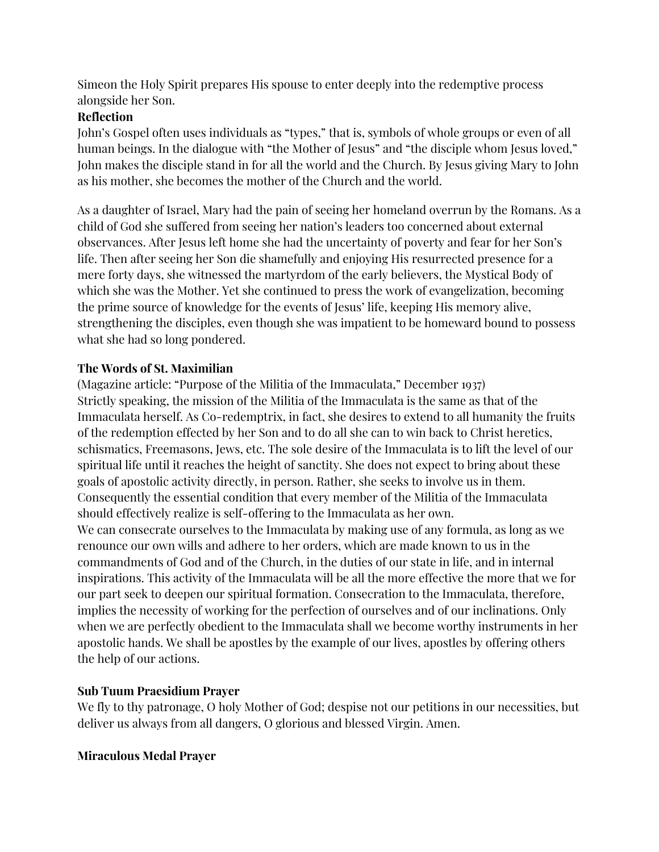Simeon the Holy Spirit prepares His spouse to enter deeply into the redemptive process alongside her Son.

### **Reflection**

John's Gospel often uses individuals as "types," that is, symbols of whole groups or even of all human beings. In the dialogue with "the Mother of Jesus" and "the disciple whom Jesus loved," John makes the disciple stand in for all the world and the Church. By Jesus giving Mary to John as his mother, she becomes the mother of the Church and the world.

As a daughter of Israel, Mary had the pain of seeing her homeland overrun by the Romans. As a child of God she suffered from seeing her nation's leaders too concerned about external observances. After Jesus left home she had the uncertainty of poverty and fear for her Son's life. Then after seeing her Son die shamefully and enjoying His resurrected presence for a mere forty days, she witnessed the martyrdom of the early believers, the Mystical Body of which she was the Mother. Yet she continued to press the work of evangelization, becoming the prime source of knowledge for the events of Jesus' life, keeping His memory alive, strengthening the disciples, even though she was impatient to be homeward bound to possess what she had so long pondered.

### **The Words of St. Maximilian**

(Magazine article: "Purpose of the Militia of the Immaculata," December 1937) Strictly speaking, the mission of the Militia of the Immaculata is the same as that of the Immaculata herself. As Co-redemptrix, in fact, she desires to extend to all humanity the fruits of the redemption effected by her Son and to do all she can to win back to Christ heretics, schismatics, Freemasons, Jews, etc. The sole desire of the Immaculata is to lift the level of our spiritual life until it reaches the height of sanctity. She does not expect to bring about these goals of apostolic activity directly, in person. Rather, she seeks to involve us in them. Consequently the essential condition that every member of the Militia of the Immaculata should effectively realize is self-offering to the Immaculata as her own. We can consecrate ourselves to the Immaculata by making use of any formula, as long as we renounce our own wills and adhere to her orders, which are made known to us in the commandments of God and of the Church, in the duties of our state in life, and in internal inspirations. This activity of the Immaculata will be all the more effective the more that we for our part seek to deepen our spiritual formation. Consecration to the Immaculata, therefore, implies the necessity of working for the perfection of ourselves and of our inclinations. Only when we are perfectly obedient to the Immaculata shall we become worthy instruments in her apostolic hands. We shall be apostles by the example of our lives, apostles by offering others the help of our actions.

### **Sub Tuum Praesidium Prayer**

We fly to thy patronage, O holy Mother of God; despise not our petitions in our necessities, but deliver us always from all dangers, O glorious and blessed Virgin. Amen.

### **Miraculous Medal Prayer**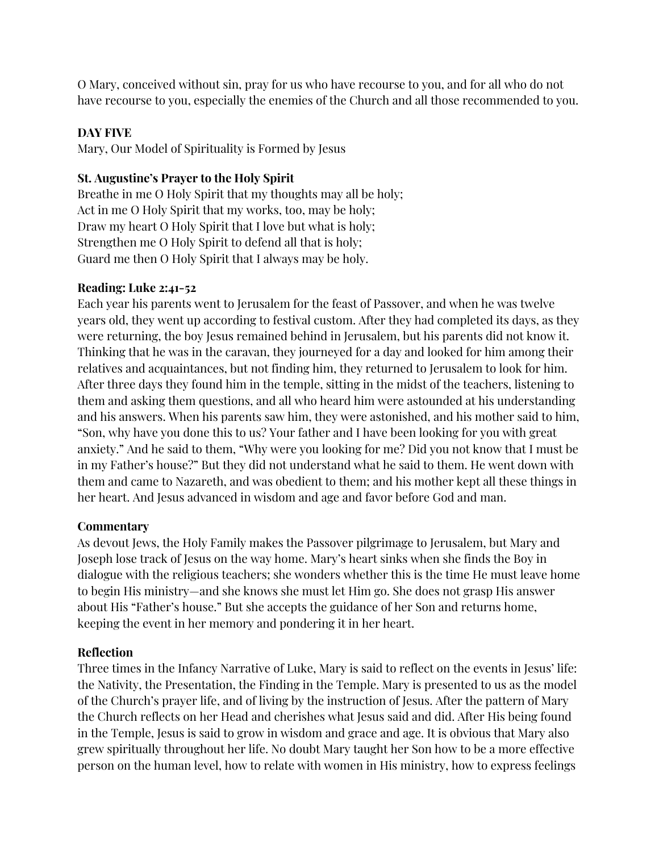O Mary, conceived without sin, pray for us who have recourse to you, and for all who do not have recourse to you, especially the enemies of the Church and all those recommended to you.

### **DAY FIVE**

Mary, Our Model of Spirituality is Formed by Jesus

### **St. Augustine's Prayer to the Holy Spirit**

Breathe in me O Holy Spirit that my thoughts may all be holy; Act in me O Holy Spirit that my works, too, may be holy; Draw my heart O Holy Spirit that I love but what is holy; Strengthen me O Holy Spirit to defend all that is holy; Guard me then O Holy Spirit that I always may be holy.

### **Reading: Luke 2:41-52**

Each year his parents went to Jerusalem for the feast of Passover, and when he was twelve years old, they went up according to festival custom. After they had completed its days, as they were returning, the boy Jesus remained behind in Jerusalem, but his parents did not know it. Thinking that he was in the caravan, they journeyed for a day and looked for him among their relatives and acquaintances, but not finding him, they returned to Jerusalem to look for him. After three days they found him in the temple, sitting in the midst of the teachers, listening to them and asking them questions, and all who heard him were astounded at his understanding and his answers. When his parents saw him, they were astonished, and his mother said to him, "Son, why have you done this to us? Your father and I have been looking for you with great anxiety." And he said to them, "Why were you looking for me? Did you not know that I must be in my Father's house?" But they did not understand what he said to them. He went down with them and came to Nazareth, and was obedient to them; and his mother kept all these things in her heart. And Jesus advanced in wisdom and age and favor before God and man.

### **Commentary**

As devout Jews, the Holy Family makes the Passover pilgrimage to Jerusalem, but Mary and Joseph lose track of Jesus on the way home. Mary's heart sinks when she finds the Boy in dialogue with the religious teachers; she wonders whether this is the time He must leave home to begin His ministry—and she knows she must let Him go. She does not grasp His answer about His "Father's house." But she accepts the guidance of her Son and returns home, keeping the event in her memory and pondering it in her heart.

### **Reflection**

Three times in the Infancy Narrative of Luke, Mary is said to reflect on the events in Jesus' life: the Nativity, the Presentation, the Finding in the Temple. Mary is presented to us as the model of the Church's prayer life, and of living by the instruction of Jesus. After the pattern of Mary the Church reflects on her Head and cherishes what Jesus said and did. After His being found in the Temple, Jesus is said to grow in wisdom and grace and age. It is obvious that Mary also grew spiritually throughout her life. No doubt Mary taught her Son how to be a more effective person on the human level, how to relate with women in His ministry, how to express feelings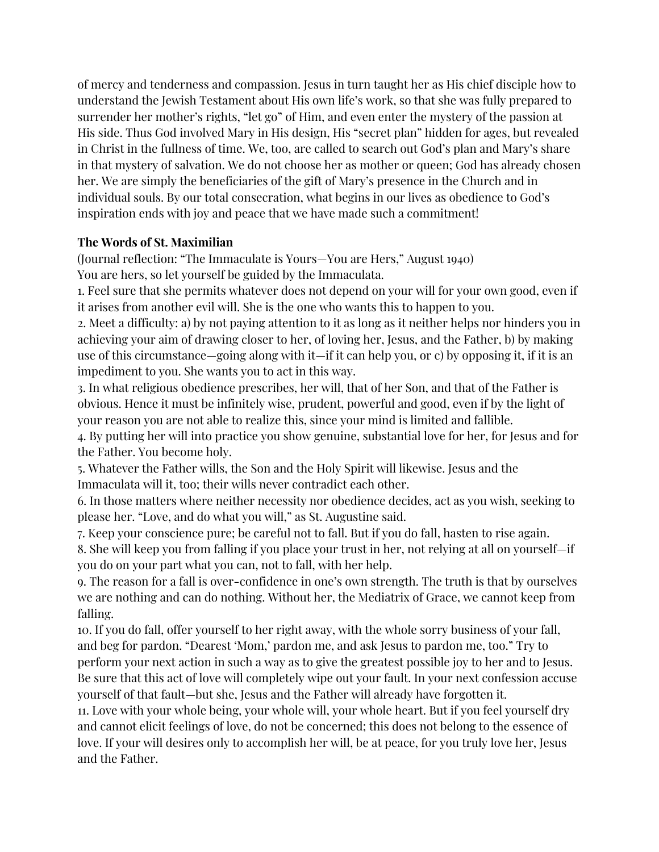of mercy and tenderness and compassion. Jesus in turn taught her as His chief disciple how to understand the Jewish Testament about His own life's work, so that she was fully prepared to surrender her mother's rights, "let go" of Him, and even enter the mystery of the passion at His side. Thus God involved Mary in His design, His "secret plan" hidden for ages, but revealed in Christ in the fullness of time. We, too, are called to search out God's plan and Mary's share in that mystery of salvation. We do not choose her as mother or queen; God has already chosen her. We are simply the beneficiaries of the gift of Mary's presence in the Church and in individual souls. By our total consecration, what begins in our lives as obedience to God's inspiration ends with joy and peace that we have made such a commitment!

### **The Words of St. Maximilian**

(Journal reflection: "The Immaculate is Yours—You are Hers," August 1940) You are hers, so let yourself be guided by the Immaculata.

1. Feel sure that she permits whatever does not depend on your will for your own good, even if it arises from another evil will. She is the one who wants this to happen to you.

2. Meet a difficulty: a) by not paying attention to it as long as it neither helps nor hinders you in achieving your aim of drawing closer to her, of loving her, Jesus, and the Father, b) by making use of this circumstance—going along with it—if it can help you, or c) by opposing it, if it is an impediment to you. She wants you to act in this way.

3. In what religious obedience prescribes, her will, that of her Son, and that of the Father is obvious. Hence it must be infinitely wise, prudent, powerful and good, even if by the light of your reason you are not able to realize this, since your mind is limited and fallible.

4. By putting her will into practice you show genuine, substantial love for her, for Jesus and for the Father. You become holy.

5. Whatever the Father wills, the Son and the Holy Spirit will likewise. Jesus and the Immaculata will it, too; their wills never contradict each other.

6. In those matters where neither necessity nor obedience decides, act as you wish, seeking to please her. "Love, and do what you will," as St. Augustine said.

7. Keep your conscience pure; be careful not to fall. But if you do fall, hasten to rise again.

8. She will keep you from falling if you place your trust in her, not relying at all on yourself—if you do on your part what you can, not to fall, with her help.

9. The reason for a fall is over-confidence in one's own strength. The truth is that by ourselves we are nothing and can do nothing. Without her, the Mediatrix of Grace, we cannot keep from falling.

10. If you do fall, offer yourself to her right away, with the whole sorry business of your fall, and beg for pardon. "Dearest 'Mom,' pardon me, and ask Jesus to pardon me, too." Try to perform your next action in such a way as to give the greatest possible joy to her and to Jesus. Be sure that this act of love will completely wipe out your fault. In your next confession accuse yourself of that fault—but she, Jesus and the Father will already have forgotten it.

11. Love with your whole being, your whole will, your whole heart. But if you feel yourself dry and cannot elicit feelings of love, do not be concerned; this does not belong to the essence of love. If your will desires only to accomplish her will, be at peace, for you truly love her, Jesus and the Father.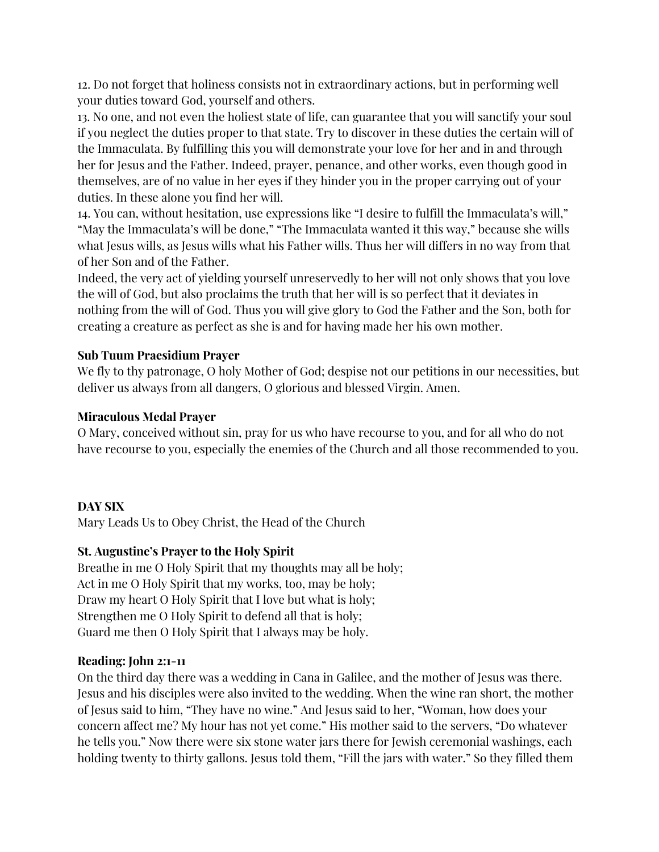12. Do not forget that holiness consists not in extraordinary actions, but in performing well your duties toward God, yourself and others.

13. No one, and not even the holiest state of life, can guarantee that you will sanctify your soul if you neglect the duties proper to that state. Try to discover in these duties the certain will of the Immaculata. By fulfilling this you will demonstrate your love for her and in and through her for Jesus and the Father. Indeed, prayer, penance, and other works, even though good in themselves, are of no value in her eyes if they hinder you in the proper carrying out of your duties. In these alone you find her will.

14. You can, without hesitation, use expressions like "I desire to fulfill the Immaculata's will," "May the Immaculata's will be done," "The Immaculata wanted it this way," because she wills what Jesus wills, as Jesus wills what his Father wills. Thus her will differs in no way from that of her Son and of the Father.

Indeed, the very act of yielding yourself unreservedly to her will not only shows that you love the will of God, but also proclaims the truth that her will is so perfect that it deviates in nothing from the will of God. Thus you will give glory to God the Father and the Son, both for creating a creature as perfect as she is and for having made her his own mother.

### **Sub Tuum Praesidium Prayer**

We fly to thy patronage, O holy Mother of God; despise not our petitions in our necessities, but deliver us always from all dangers, O glorious and blessed Virgin. Amen.

# **Miraculous Medal Prayer**

O Mary, conceived without sin, pray for us who have recourse to you, and for all who do not have recourse to you, especially the enemies of the Church and all those recommended to you.

# **DAY SIX**

Mary Leads Us to Obey Christ, the Head of the Church

# **St. Augustine's Prayer to the Holy Spirit**

Breathe in me O Holy Spirit that my thoughts may all be holy; Act in me O Holy Spirit that my works, too, may be holy; Draw my heart O Holy Spirit that I love but what is holy; Strengthen me O Holy Spirit to defend all that is holy; Guard me then O Holy Spirit that I always may be holy.

### **Reading: John 2:1-11**

On the third day there was a wedding in Cana in Galilee, and the mother of Jesus was there. Jesus and his disciples were also invited to the wedding. When the wine ran short, the mother of Jesus said to him, "They have no wine." And Jesus said to her, "Woman, how does your concern affect me? My hour has not yet come." His mother said to the servers, "Do whatever he tells you." Now there were six stone water jars there for Jewish ceremonial washings, each holding twenty to thirty gallons. Jesus told them, "Fill the jars with water." So they filled them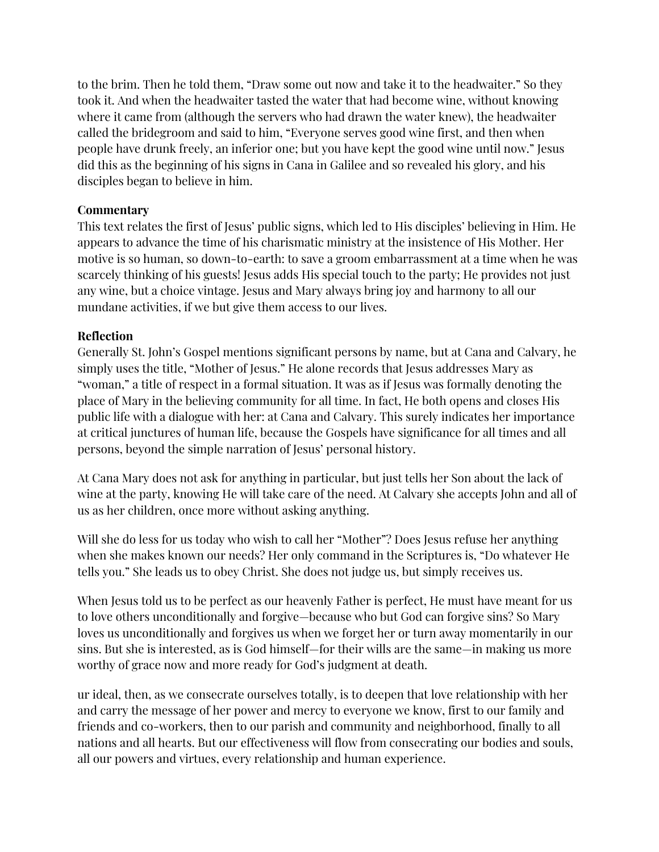to the brim. Then he told them, "Draw some out now and take it to the headwaiter." So they took it. And when the headwaiter tasted the water that had become wine, without knowing where it came from (although the servers who had drawn the water knew), the headwaiter called the bridegroom and said to him, "Everyone serves good wine first, and then when people have drunk freely, an inferior one; but you have kept the good wine until now." Jesus did this as the beginning of his signs in Cana in Galilee and so revealed his glory, and his disciples began to believe in him.

# **Commentary**

This text relates the first of Jesus' public signs, which led to His disciples' believing in Him. He appears to advance the time of his charismatic ministry at the insistence of His Mother. Her motive is so human, so down-to-earth: to save a groom embarrassment at a time when he was scarcely thinking of his guests! Jesus adds His special touch to the party; He provides not just any wine, but a choice vintage. Jesus and Mary always bring joy and harmony to all our mundane activities, if we but give them access to our lives.

### **Reflection**

Generally St. John's Gospel mentions significant persons by name, but at Cana and Calvary, he simply uses the title, "Mother of Jesus." He alone records that Jesus addresses Mary as "woman," a title of respect in a formal situation. It was as if Jesus was formally denoting the place of Mary in the believing community for all time. In fact, He both opens and closes His public life with a dialogue with her: at Cana and Calvary. This surely indicates her importance at critical junctures of human life, because the Gospels have significance for all times and all persons, beyond the simple narration of Jesus' personal history.

At Cana Mary does not ask for anything in particular, but just tells her Son about the lack of wine at the party, knowing He will take care of the need. At Calvary she accepts John and all of us as her children, once more without asking anything.

Will she do less for us today who wish to call her "Mother"? Does Jesus refuse her anything when she makes known our needs? Her only command in the Scriptures is, "Do whatever He tells you." She leads us to obey Christ. She does not judge us, but simply receives us.

When Jesus told us to be perfect as our heavenly Father is perfect, He must have meant for us to love others unconditionally and forgive—because who but God can forgive sins? So Mary loves us unconditionally and forgives us when we forget her or turn away momentarily in our sins. But she is interested, as is God himself—for their wills are the same—in making us more worthy of grace now and more ready for God's judgment at death.

ur ideal, then, as we consecrate ourselves totally, is to deepen that love relationship with her and carry the message of her power and mercy to everyone we know, first to our family and friends and co-workers, then to our parish and community and neighborhood, finally to all nations and all hearts. But our effectiveness will flow from consecrating our bodies and souls, all our powers and virtues, every relationship and human experience.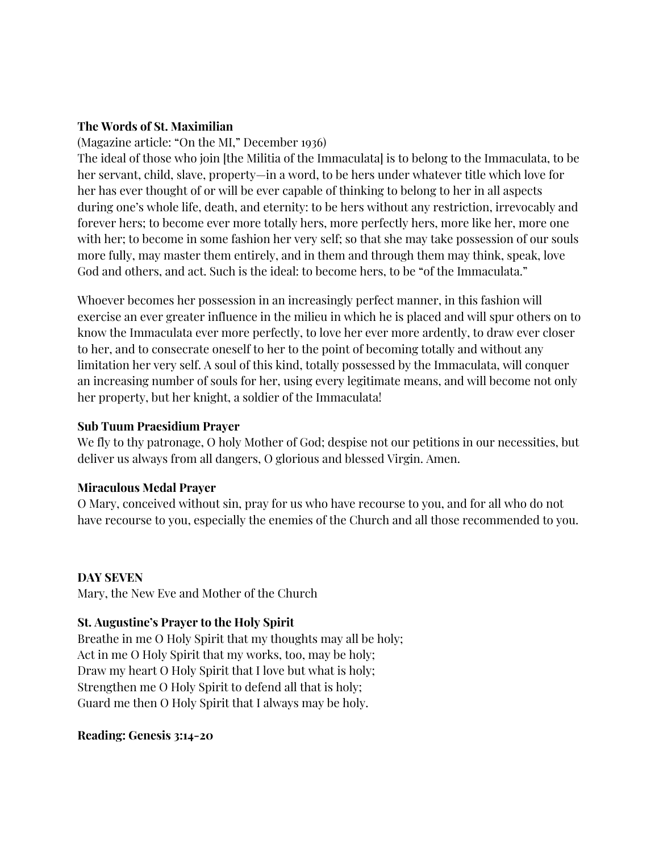#### **The Words of St. Maximilian**

(Magazine article: "On the MI," December 1936)

The ideal of those who join [the Militia of the Immaculata] is to belong to the Immaculata, to be her servant, child, slave, property—in a word, to be hers under whatever title which love for her has ever thought of or will be ever capable of thinking to belong to her in all aspects during one's whole life, death, and eternity: to be hers without any restriction, irrevocably and forever hers; to become ever more totally hers, more perfectly hers, more like her, more one with her; to become in some fashion her very self; so that she may take possession of our souls more fully, may master them entirely, and in them and through them may think, speak, love God and others, and act. Such is the ideal: to become hers, to be "of the Immaculata."

Whoever becomes her possession in an increasingly perfect manner, in this fashion will exercise an ever greater influence in the milieu in which he is placed and will spur others on to know the Immaculata ever more perfectly, to love her ever more ardently, to draw ever closer to her, and to consecrate oneself to her to the point of becoming totally and without any limitation her very self. A soul of this kind, totally possessed by the Immaculata, will conquer an increasing number of souls for her, using every legitimate means, and will become not only her property, but her knight, a soldier of the Immaculata!

#### **Sub Tuum Praesidium Prayer**

We fly to thy patronage, O holy Mother of God; despise not our petitions in our necessities, but deliver us always from all dangers, O glorious and blessed Virgin. Amen.

### **Miraculous Medal Prayer**

O Mary, conceived without sin, pray for us who have recourse to you, and for all who do not have recourse to you, especially the enemies of the Church and all those recommended to you.

### **DAY SEVEN**

Mary, the New Eve and Mother of the Church

### **St. Augustine's Prayer to the Holy Spirit**

Breathe in me O Holy Spirit that my thoughts may all be holy; Act in me O Holy Spirit that my works, too, may be holy; Draw my heart O Holy Spirit that I love but what is holy; Strengthen me O Holy Spirit to defend all that is holy; Guard me then O Holy Spirit that I always may be holy.

#### **Reading: Genesis 3:14-20**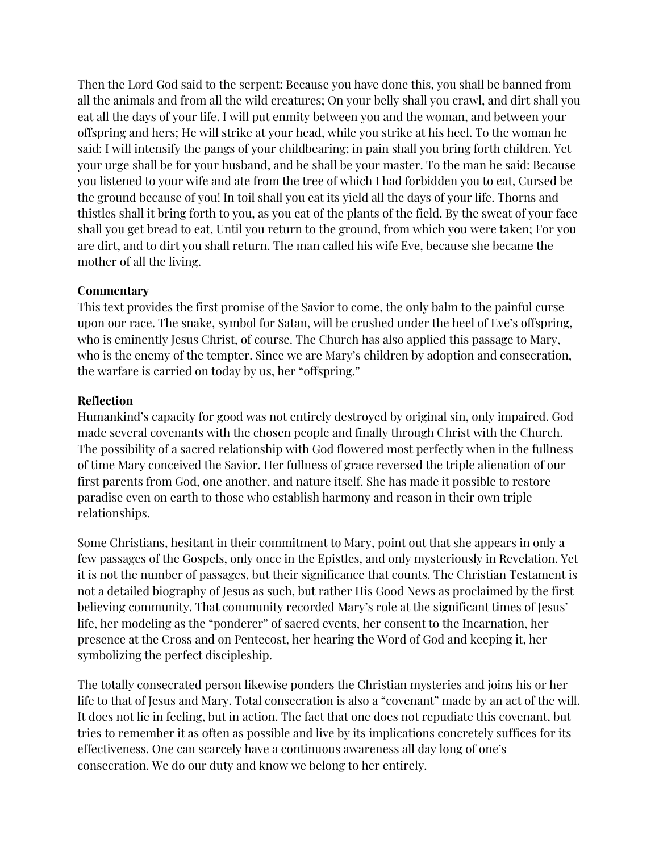Then the Lord God said to the serpent: Because you have done this, you shall be banned from all the animals and from all the wild creatures; On your belly shall you crawl, and dirt shall you eat all the days of your life. I will put enmity between you and the woman, and between your offspring and hers; He will strike at your head, while you strike at his heel. To the woman he said: I will intensify the pangs of your childbearing; in pain shall you bring forth children. Yet your urge shall be for your husband, and he shall be your master. To the man he said: Because you listened to your wife and ate from the tree of which I had forbidden you to eat, Cursed be the ground because of you! In toil shall you eat its yield all the days of your life. Thorns and thistles shall it bring forth to you, as you eat of the plants of the field. By the sweat of your face shall you get bread to eat, Until you return to the ground, from which you were taken; For you are dirt, and to dirt you shall return. The man called his wife Eve, because she became the mother of all the living.

### **Commentary**

This text provides the first promise of the Savior to come, the only balm to the painful curse upon our race. The snake, symbol for Satan, will be crushed under the heel of Eve's offspring, who is eminently Jesus Christ, of course. The Church has also applied this passage to Mary, who is the enemy of the tempter. Since we are Mary's children by adoption and consecration, the warfare is carried on today by us, her "offspring."

### **Reflection**

Humankind's capacity for good was not entirely destroyed by original sin, only impaired. God made several covenants with the chosen people and finally through Christ with the Church. The possibility of a sacred relationship with God flowered most perfectly when in the fullness of time Mary conceived the Savior. Her fullness of grace reversed the triple alienation of our first parents from God, one another, and nature itself. She has made it possible to restore paradise even on earth to those who establish harmony and reason in their own triple relationships.

Some Christians, hesitant in their commitment to Mary, point out that she appears in only a few passages of the Gospels, only once in the Epistles, and only mysteriously in Revelation. Yet it is not the number of passages, but their significance that counts. The Christian Testament is not a detailed biography of Jesus as such, but rather His Good News as proclaimed by the first believing community. That community recorded Mary's role at the significant times of Jesus' life, her modeling as the "ponderer" of sacred events, her consent to the Incarnation, her presence at the Cross and on Pentecost, her hearing the Word of God and keeping it, her symbolizing the perfect discipleship.

The totally consecrated person likewise ponders the Christian mysteries and joins his or her life to that of Jesus and Mary. Total consecration is also a "covenant" made by an act of the will. It does not lie in feeling, but in action. The fact that one does not repudiate this covenant, but tries to remember it as often as possible and live by its implications concretely suffices for its effectiveness. One can scarcely have a continuous awareness all day long of one's consecration. We do our duty and know we belong to her entirely.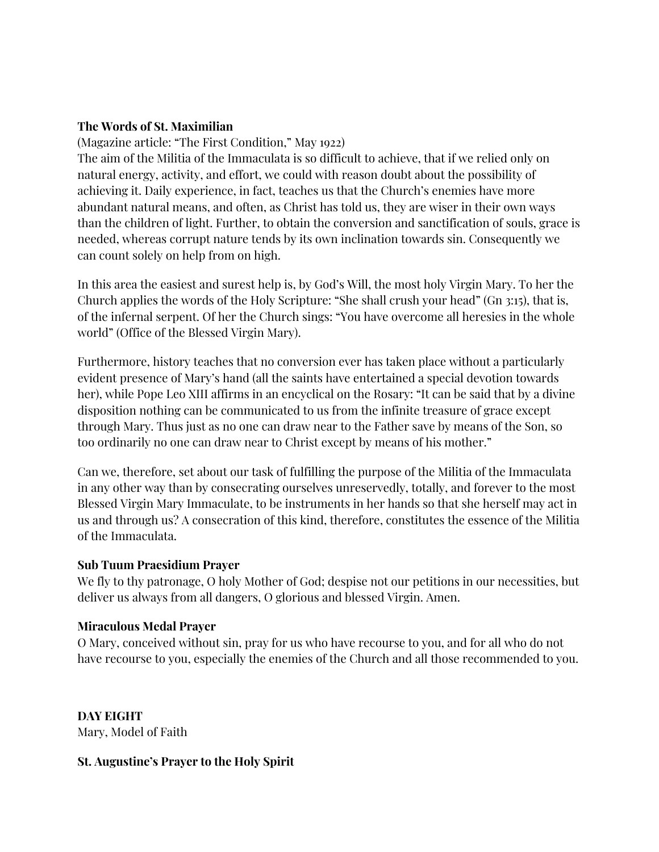#### **The Words of St. Maximilian**

(Magazine article: "The First Condition," May 1922)

The aim of the Militia of the Immaculata is so difficult to achieve, that if we relied only on natural energy, activity, and effort, we could with reason doubt about the possibility of achieving it. Daily experience, in fact, teaches us that the Church's enemies have more abundant natural means, and often, as Christ has told us, they are wiser in their own ways than the children of light. Further, to obtain the conversion and sanctification of souls, grace is needed, whereas corrupt nature tends by its own inclination towards sin. Consequently we can count solely on help from on high.

In this area the easiest and surest help is, by God's Will, the most holy Virgin Mary. To her the Church applies the words of the Holy Scripture: "She shall crush your head" (Gn 3:15), that is, of the infernal serpent. Of her the Church sings: "You have overcome all heresies in the whole world" (Office of the Blessed Virgin Mary).

Furthermore, history teaches that no conversion ever has taken place without a particularly evident presence of Mary's hand (all the saints have entertained a special devotion towards her), while Pope Leo XIII affirms in an encyclical on the Rosary: "It can be said that by a divine disposition nothing can be communicated to us from the infinite treasure of grace except through Mary. Thus just as no one can draw near to the Father save by means of the Son, so too ordinarily no one can draw near to Christ except by means of his mother."

Can we, therefore, set about our task of fulfilling the purpose of the Militia of the Immaculata in any other way than by consecrating ourselves unreservedly, totally, and forever to the most Blessed Virgin Mary Immaculate, to be instruments in her hands so that she herself may act in us and through us? A consecration of this kind, therefore, constitutes the essence of the Militia of the Immaculata.

#### **Sub Tuum Praesidium Prayer**

We fly to thy patronage, O holy Mother of God; despise not our petitions in our necessities, but deliver us always from all dangers, O glorious and blessed Virgin. Amen.

#### **Miraculous Medal Prayer**

O Mary, conceived without sin, pray for us who have recourse to you, and for all who do not have recourse to you, especially the enemies of the Church and all those recommended to you.

**DAY EIGHT** Mary, Model of Faith

### **St. Augustine's Prayer to the Holy Spirit**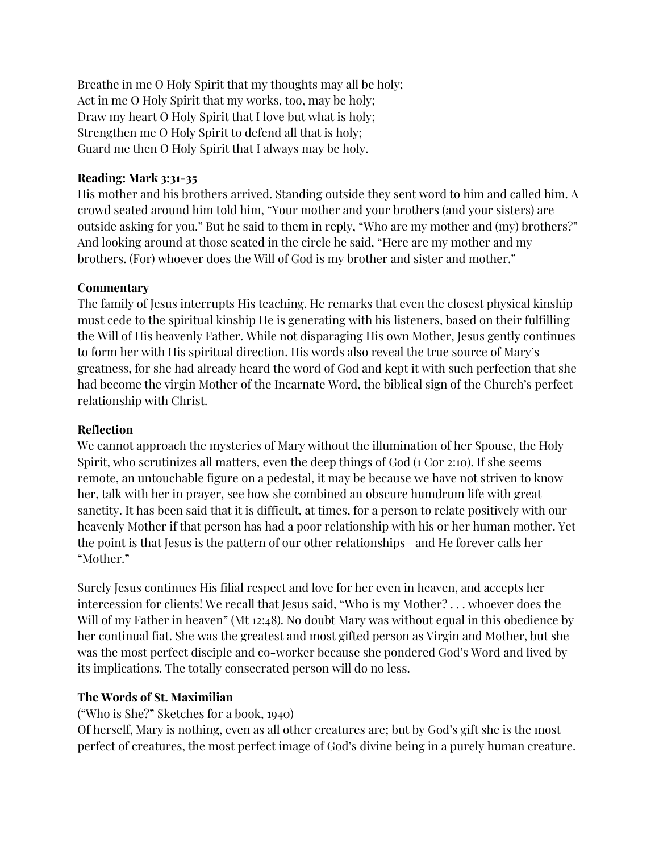Breathe in me O Holy Spirit that my thoughts may all be holy; Act in me O Holy Spirit that my works, too, may be holy; Draw my heart O Holy Spirit that I love but what is holy; Strengthen me O Holy Spirit to defend all that is holy; Guard me then O Holy Spirit that I always may be holy.

### **Reading: Mark 3:31-35**

His mother and his brothers arrived. Standing outside they sent word to him and called him. A crowd seated around him told him, "Your mother and your brothers (and your sisters) are outside asking for you." But he said to them in reply, "Who are my mother and (my) brothers?" And looking around at those seated in the circle he said, "Here are my mother and my brothers. (For) whoever does the Will of God is my brother and sister and mother."

### **Commentary**

The family of Jesus interrupts His teaching. He remarks that even the closest physical kinship must cede to the spiritual kinship He is generating with his listeners, based on their fulfilling the Will of His heavenly Father. While not disparaging His own Mother, Jesus gently continues to form her with His spiritual direction. His words also reveal the true source of Mary's greatness, for she had already heard the word of God and kept it with such perfection that she had become the virgin Mother of the Incarnate Word, the biblical sign of the Church's perfect relationship with Christ.

### **Reflection**

We cannot approach the mysteries of Mary without the illumination of her Spouse, the Holy Spirit, who scrutinizes all matters, even the deep things of God (1 Cor 2:10). If she seems remote, an untouchable figure on a pedestal, it may be because we have not striven to know her, talk with her in prayer, see how she combined an obscure humdrum life with great sanctity. It has been said that it is difficult, at times, for a person to relate positively with our heavenly Mother if that person has had a poor relationship with his or her human mother. Yet the point is that Jesus is the pattern of our other relationships—and He forever calls her "Mother."

Surely Jesus continues His filial respect and love for her even in heaven, and accepts her intercession for clients! We recall that Jesus said, "Who is my Mother? . . . whoever does the Will of my Father in heaven" (Mt 12:48). No doubt Mary was without equal in this obedience by her continual fiat. She was the greatest and most gifted person as Virgin and Mother, but she was the most perfect disciple and co-worker because she pondered God's Word and lived by its implications. The totally consecrated person will do no less.

# **The Words of St. Maximilian**

("Who is She?" Sketches for a book, 1940)

Of herself, Mary is nothing, even as all other creatures are; but by God's gift she is the most perfect of creatures, the most perfect image of God's divine being in a purely human creature.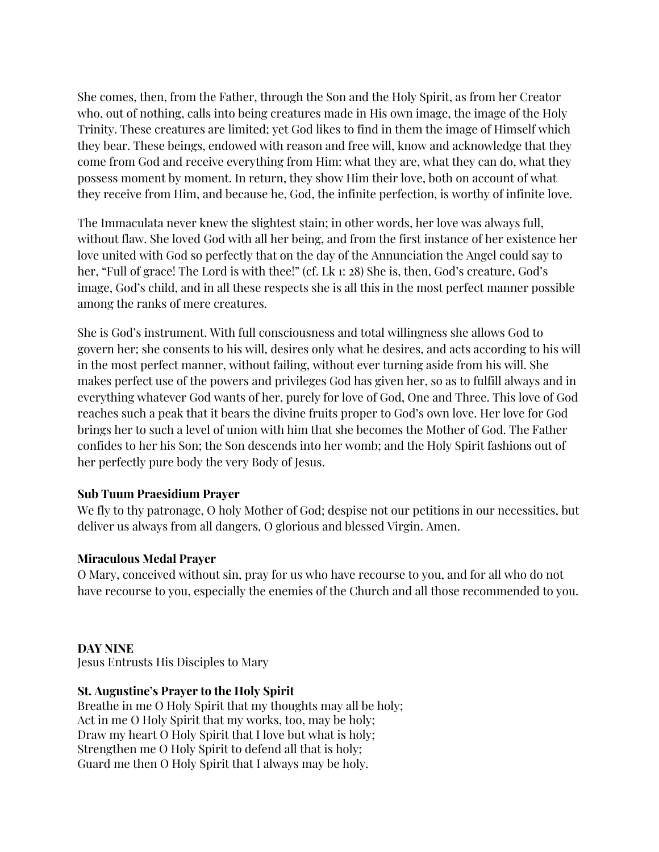She comes, then, from the Father, through the Son and the Holy Spirit, as from her Creator who, out of nothing, calls into being creatures made in His own image, the image of the Holy Trinity. These creatures are limited; yet God likes to find in them the image of Himself which they bear. These beings, endowed with reason and free will, know and acknowledge that they come from God and receive everything from Him: what they are, what they can do, what they possess moment by moment. In return, they show Him their love, both on account of what they receive from Him, and because he, God, the infinite perfection, is worthy of infinite love.

The Immaculata never knew the slightest stain; in other words, her love was always full, without flaw. She loved God with all her being, and from the first instance of her existence her love united with God so perfectly that on the day of the Annunciation the Angel could say to her, "Full of grace! The Lord is with thee!" (cf. Lk 1: 28) She is, then, God's creature, God's image, God's child, and in all these respects she is all this in the most perfect manner possible among the ranks of mere creatures.

She is God's instrument. With full consciousness and total willingness she allows God to govern her; she consents to his will, desires only what he desires, and acts according to his will in the most perfect manner, without failing, without ever turning aside from his will. She makes perfect use of the powers and privileges God has given her, so as to fulfill always and in everything whatever God wants of her, purely for love of God, One and Three. This love of God reaches such a peak that it bears the divine fruits proper to God's own love. Her love for God brings her to such a level of union with him that she becomes the Mother of God. The Father confides to her his Son; the Son descends into her womb; and the Holy Spirit fashions out of her perfectly pure body the very Body of Jesus.

### **Sub Tuum Praesidium Prayer**

We fly to thy patronage, O holy Mother of God; despise not our petitions in our necessities, but deliver us always from all dangers, O glorious and blessed Virgin. Amen.

#### **Miraculous Medal Prayer**

O Mary, conceived without sin, pray for us who have recourse to you, and for all who do not have recourse to you, especially the enemies of the Church and all those recommended to you.

#### **DAY NINE**

Jesus Entrusts His Disciples to Mary

#### **St. Augustine's Prayer to the Holy Spirit**

Breathe in me O Holy Spirit that my thoughts may all be holy; Act in me O Holy Spirit that my works, too, may be holy; Draw my heart O Holy Spirit that I love but what is holy; Strengthen me O Holy Spirit to defend all that is holy; Guard me then O Holy Spirit that I always may be holy.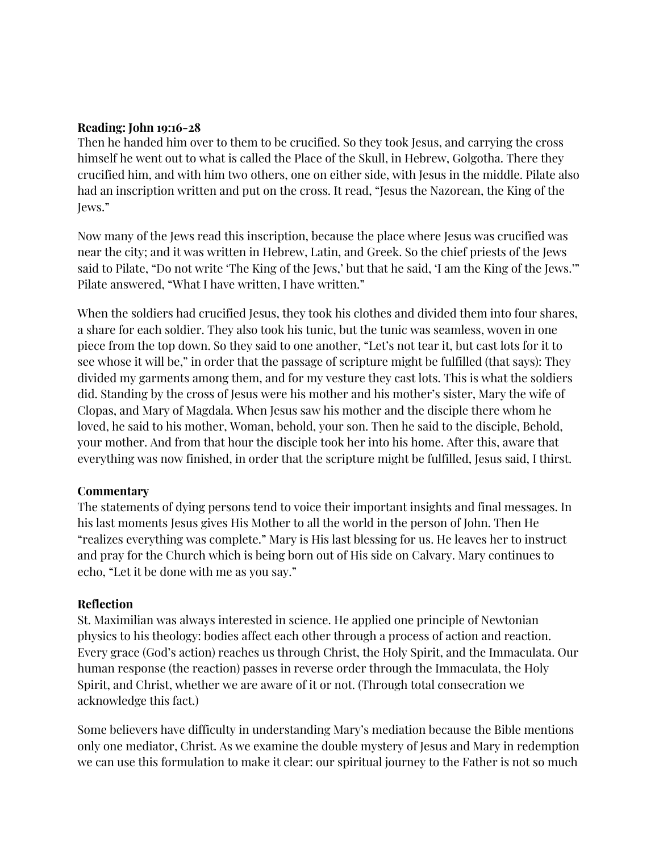#### **Reading: John 19:16-28**

Then he handed him over to them to be crucified. So they took Jesus, and carrying the cross himself he went out to what is called the Place of the Skull, in Hebrew, Golgotha. There they crucified him, and with him two others, one on either side, with Jesus in the middle. Pilate also had an inscription written and put on the cross. It read, "Jesus the Nazorean, the King of the Jews."

Now many of the Jews read this inscription, because the place where Jesus was crucified was near the city; and it was written in Hebrew, Latin, and Greek. So the chief priests of the Jews said to Pilate, "Do not write 'The King of the Jews,' but that he said, 'I am the King of the Jews.'" Pilate answered, "What I have written, I have written."

When the soldiers had crucified Jesus, they took his clothes and divided them into four shares, a share for each soldier. They also took his tunic, but the tunic was seamless, woven in one piece from the top down. So they said to one another, "Let's not tear it, but cast lots for it to see whose it will be," in order that the passage of scripture might be fulfilled (that says): They divided my garments among them, and for my vesture they cast lots. This is what the soldiers did. Standing by the cross of Jesus were his mother and his mother's sister, Mary the wife of Clopas, and Mary of Magdala. When Jesus saw his mother and the disciple there whom he loved, he said to his mother, Woman, behold, your son. Then he said to the disciple, Behold, your mother. And from that hour the disciple took her into his home. After this, aware that everything was now finished, in order that the scripture might be fulfilled, Jesus said, I thirst.

### **Commentary**

The statements of dying persons tend to voice their important insights and final messages. In his last moments Jesus gives His Mother to all the world in the person of John. Then He "realizes everything was complete." Mary is His last blessing for us. He leaves her to instruct and pray for the Church which is being born out of His side on Calvary. Mary continues to echo, "Let it be done with me as you say."

### **Reflection**

St. Maximilian was always interested in science. He applied one principle of Newtonian physics to his theology: bodies affect each other through a process of action and reaction. Every grace (God's action) reaches us through Christ, the Holy Spirit, and the Immaculata. Our human response (the reaction) passes in reverse order through the Immaculata, the Holy Spirit, and Christ, whether we are aware of it or not. (Through total consecration we acknowledge this fact.)

Some believers have difficulty in understanding Mary's mediation because the Bible mentions only one mediator, Christ. As we examine the double mystery of Jesus and Mary in redemption we can use this formulation to make it clear: our spiritual journey to the Father is not so much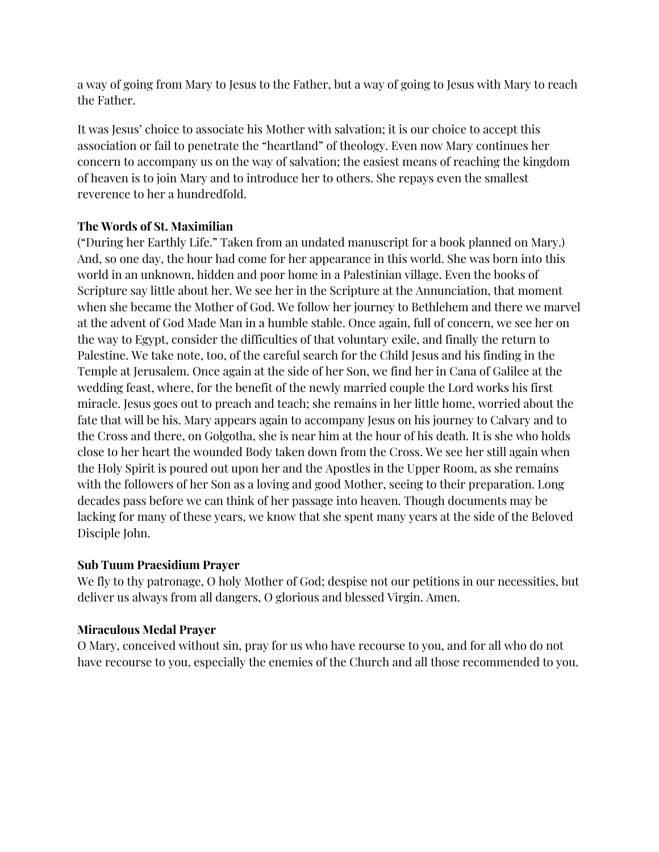a way of going from Mary to Jesus to the Father, but a way of going to Jesus with Mary to reach the Father.

It was Jesus' choice to associate his Mother with salvation; it is our choice to accept this association or fail to penetrate the "heartland" of theology. Even now Mary continues her concern to accompany us on the way of salvation; the easiest means of reaching the kingdom of heaven is to join Mary and to introduce her to others. She repays even the smallest reverence to her a hundredfold.

# **The Words of St. Maximilian**

("During her Earthly Life." Taken from an undated manuscript for a book planned on Mary.) And, so one day, the hour had come for her appearance in this world. She was born into this world in an unknown, hidden and poor home in a Palestinian village. Even the books of Scripture say little about her. We see her in the Scripture at the Annunciation, that moment when she became the Mother of God. We follow her journey to Bethlehem and there we marvel at the advent of God Made Man in a humble stable. Once again, full of concern, we see her on the way to Egypt, consider the difficulties of that voluntary exile, and finally the return to Palestine. We take note, too, of the careful search for the Child Jesus and his finding in the Temple at Jerusalem. Once again at the side of her Son, we find her in Cana of Galilee at the wedding feast, where, for the benefit of the newly married couple the Lord works his first miracle. Jesus goes out to preach and teach; she remains in her little home, worried about the fate that will be his. Mary appears again to accompany Jesus on his journey to Calvary and to the Cross and there, on Golgotha, she is near him at the hour of his death. It is she who holds close to her heart the wounded Body taken down from the Cross. We see her still again when the Holy Spirit is poured out upon her and the Apostles in the Upper Room, as she remains with the followers of her Son as a loving and good Mother, seeing to their preparation. Long decades pass before we can think of her passage into heaven. Though documents may be lacking for many of these years, we know that she spent many years at the side of the Beloved Disciple John.

# **Sub Tuum Praesidium Prayer**

We fly to thy patronage, O holy Mother of God; despise not our petitions in our necessities, but deliver us always from all dangers, O glorious and blessed Virgin. Amen.

# **Miraculous Medal Prayer**

O Mary, conceived without sin, pray for us who have recourse to you, and for all who do not have recourse to you, especially the enemies of the Church and all those recommended to you.